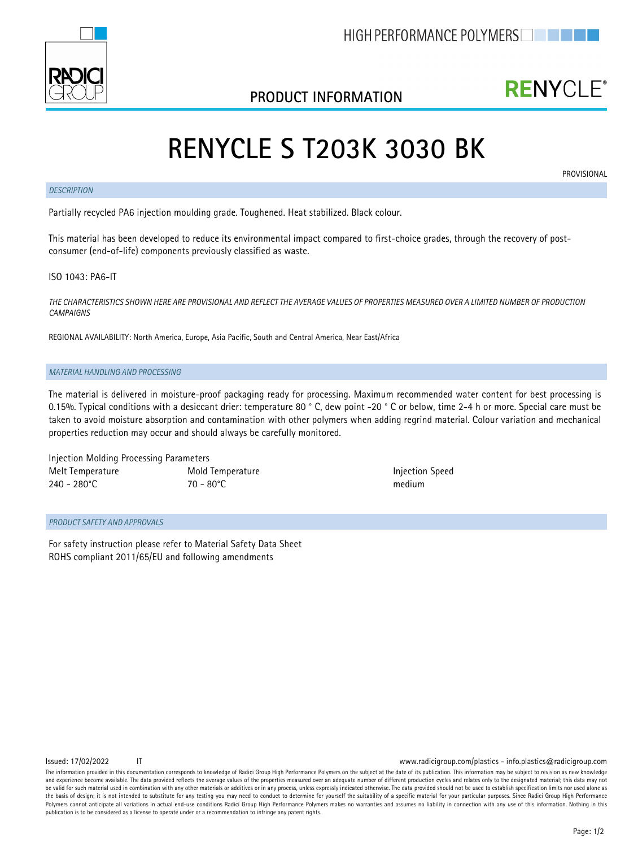

#### **PRODUCT INFORMATION**

## **RENYCLE®**

# **RENYCLE S T203K 3030 BK**

#### *DESCRIPTION*

**PROVISIONAL** 

Partially recycled PA6 injection moulding grade. Toughened. Heat stabilized. Black colour.

This material has been developed to reduce its environmental impact compared to first-choice grades, through the recovery of postconsumer (end-of-life) components previously classified as waste.

ISO 1043: PA6-IT

*THE CHARACTERISTICS SHOWN HERE ARE PROVISIONAL AND REFLECT THE AVERAGE VALUES OF PROPERTIES MEASURED OVER A LIMITED NUMBER OF PRODUCTION CAMPAIGNS*

REGIONAL AVAILABILITY: North America, Europe, Asia Pacific, South and Central America, Near East/Africa

#### *MATERIAL HANDLING AND PROCESSING*

The material is delivered in moisture-proof packaging ready for processing. Maximum recommended water content for best processing is 0.15%. Typical conditions with a desiccant drier: temperature 80 ° C, dew point -20 ° C or below, time 2-4 h or more. Special care must be taken to avoid moisture absorption and contamination with other polymers when adding regrind material. Colour variation and mechanical properties reduction may occur and should always be carefully monitored.

Injection Molding Processing Parameters Melt Temperature Mold Temperature Injection Speed 240 - 280°C 70 - 80°C medium

#### *PRODUCT SAFETY AND APPROVALS*

For safety instruction please refer to Material Safety Data Sheet ROHS compliant 2011/65/EU and following amendments

Issued: 17/02/2022 IT www.radicigroup.com/plastics - info.plastics@radicigroup.com

The information provided in this documentation corresponds to knowledge of Radici Group High Performance Polymers on the subject at the date of its publication. This information may be subject to revision as new knowledge and experience become available. The data provided reflects the average values of the properties measured over an adequate number of different production cycles and relates only to the designated material; this data may no be valid for such material used in combination with any other materials or additives or in any process, unless expressly indicated otherwise. The data provided should not be used to establish specification limits nor used the basis of design; it is not intended to substitute for any testing you may need to conduct to determine for yourself the suitability of a specific material for your particular purposes. Since Radici Group High Performan Polymers cannot anticipate all variations in actual end-use conditions Radici Group High Performance Polymers makes no warranties and assumes no liability in connection with any use of this information. Nothing in this publication is to be considered as a license to operate under or a recommendation to infringe any patent rights.